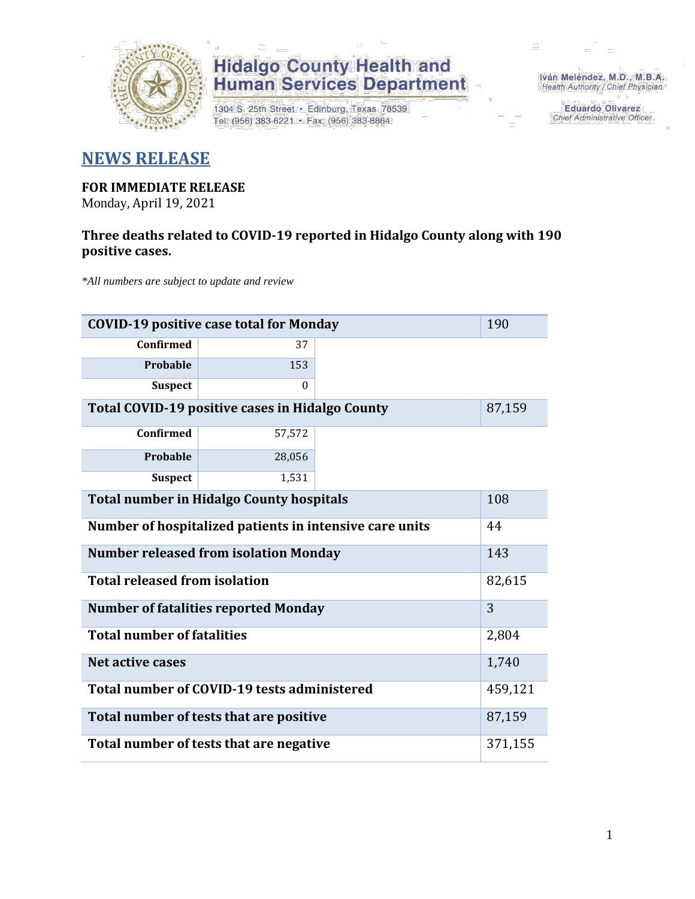

## **Hidalgo County Health and<br>Human Services Department**

1304 S. 25th Street · Edinburg, Texas 78539 Tel: (956) 383-6221 · Fax: (956) 383-8864

Iván Meléndez, M.D., M.B.A. Health Authority / Chief Physician

> **Eduardo Olivarez** Chief Administrative Officer

### **NEWS RELEASE**

### **FOR IMMEDIATE RELEASE**

Monday, April 19, 2021

#### **Three deaths related to COVID-19 reported in Hidalgo County along with 190 positive cases.**

*\*All numbers are subject to update and review*

| <b>COVID-19 positive case total for Monday</b>          | 190      |        |  |  |  |
|---------------------------------------------------------|----------|--------|--|--|--|
| Confirmed                                               | 37       |        |  |  |  |
| Probable                                                | 153      |        |  |  |  |
| <b>Suspect</b>                                          | $\Omega$ |        |  |  |  |
| Total COVID-19 positive cases in Hidalgo County         |          | 87,159 |  |  |  |
| <b>Confirmed</b>                                        | 57,572   |        |  |  |  |
| Probable                                                | 28,056   |        |  |  |  |
| <b>Suspect</b>                                          | 1,531    |        |  |  |  |
| <b>Total number in Hidalgo County hospitals</b>         |          |        |  |  |  |
| Number of hospitalized patients in intensive care units | 44       |        |  |  |  |
| <b>Number released from isolation Monday</b>            |          |        |  |  |  |
| <b>Total released from isolation</b>                    | 82,615   |        |  |  |  |
| <b>Number of fatalities reported Monday</b>             | 3        |        |  |  |  |
| <b>Total number of fatalities</b>                       | 2,804    |        |  |  |  |
| Net active cases                                        | 1,740    |        |  |  |  |
| Total number of COVID-19 tests administered             | 459,121  |        |  |  |  |
| Total number of tests that are positive                 | 87,159   |        |  |  |  |
| Total number of tests that are negative                 |          |        |  |  |  |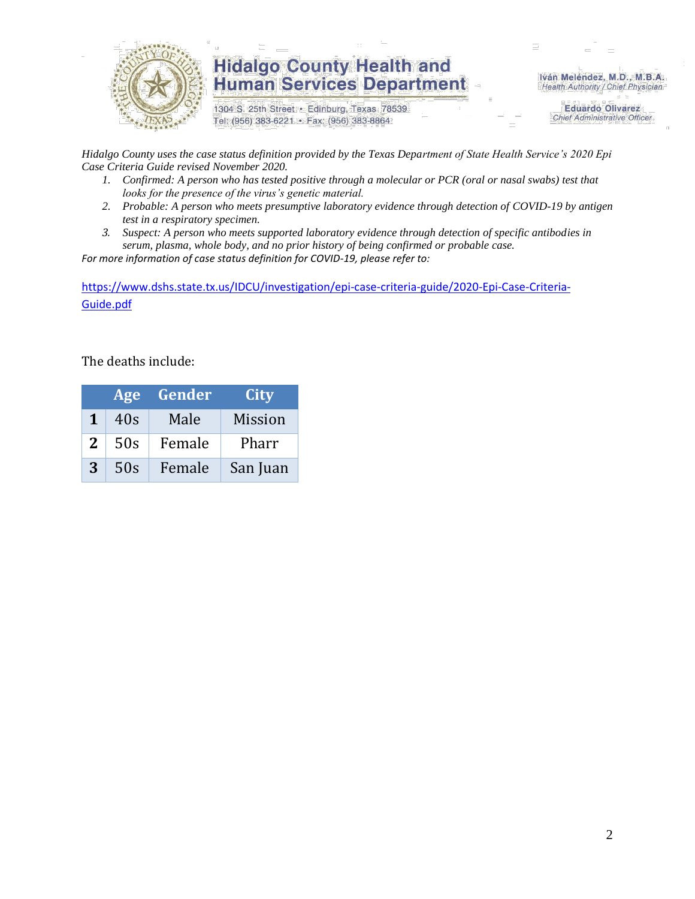

### **Hidalgo County Health and Human Services Department**

1304 S. 25th Street · Edinburg, Texas 78539 Tel: (956) 383-6221 · Fax: (956) 383-8864

Iván Meléndez, M.D., M.B.A. Health Authority / Chief Physician

> **Eduardo Olivarez Chief Administrative Officer**

*Hidalgo County uses the case status definition provided by the Texas Department of State Health Service's 2020 Epi Case Criteria Guide revised November 2020.*

- *1. Confirmed: A person who has tested positive through a molecular or PCR (oral or nasal swabs) test that looks for the presence of the virus's genetic material.*
- *2. Probable: A person who meets presumptive laboratory evidence through detection of COVID-19 by antigen test in a respiratory specimen.*
- *3. Suspect: A person who meets supported laboratory evidence through detection of specific antibodies in serum, plasma, whole body, and no prior history of being confirmed or probable case.*

*For more information of case status definition for COVID-19, please refer to:*

[https://www.dshs.state.tx.us/IDCU/investigation/epi-case-criteria-guide/2020-Epi-Case-Criteria-](https://www.dshs.state.tx.us/IDCU/investigation/epi-case-criteria-guide/2020-Epi-Case-Criteria-Guide.pdf)[Guide.pdf](https://www.dshs.state.tx.us/IDCU/investigation/epi-case-criteria-guide/2020-Epi-Case-Criteria-Guide.pdf)

The deaths include:

| Age |     | Gender | City           |  |
|-----|-----|--------|----------------|--|
| 1   | 40s | Male   | <b>Mission</b> |  |
| 2   | 50s | Female | Pharr          |  |
| 3   | 50s | Female | San Juan       |  |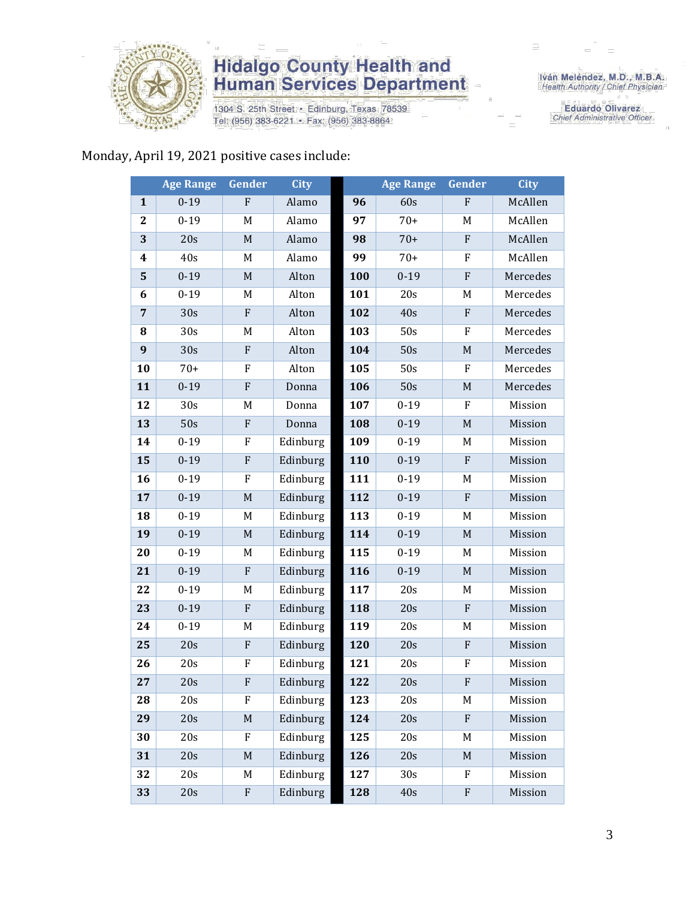

### **Hidalgo County Health and<br>Human Services Department**

1304 S. 25th Street · Edinburg, Texas 78539 Tel: (956) 383-6221 · Fax: (956) 383-8864

Iván Meléndez, M.D., M.B.A.<br>Health Authority / Chief Physician

**Eduardo Olivarez** Chief Administrative Officer

#### Monday, April 19, 2021 positive cases include:

|                | <b>Age Range</b> | Gender      | <b>City</b> |     | <b>Age Range</b> | Gender                    | <b>City</b> |
|----------------|------------------|-------------|-------------|-----|------------------|---------------------------|-------------|
| $\mathbf{1}$   | $0 - 19$         | ${\bf F}$   | Alamo       | 96  | 60s              | ${\bf F}$                 | McAllen     |
| $\overline{2}$ | $0 - 19$         | M           | Alamo       | 97  | $70+$            | M                         | McAllen     |
| 3              | 20s              | $\mathbf M$ | Alamo       | 98  | $70+$            | ${\bf F}$                 | McAllen     |
| 4              | 40s              | M           | Alamo       | 99  | $70+$            | $\boldsymbol{\mathrm{F}}$ | McAllen     |
| 5              | $0 - 19$         | $\mathbf M$ | Alton       | 100 | $0 - 19$         | ${\bf F}$                 | Mercedes    |
| 6              | $0 - 19$         | M           | Alton       | 101 | 20s              | M                         | Mercedes    |
| $\overline{7}$ | 30s              | ${\bf F}$   | Alton       | 102 | 40s              | ${\bf F}$                 | Mercedes    |
| 8              | 30s              | M           | Alton       | 103 | 50s              | $\boldsymbol{\mathrm{F}}$ | Mercedes    |
| 9              | 30s              | ${\bf F}$   | Alton       | 104 | 50s              | $\mathbf M$               | Mercedes    |
| 10             | $70+$            | ${\bf F}$   | Alton       | 105 | 50s              | $\boldsymbol{\mathrm{F}}$ | Mercedes    |
| 11             | $0 - 19$         | $\mathbf F$ | Donna       | 106 | 50s              | M                         | Mercedes    |
| 12             | 30s              | M           | Donna       | 107 | $0 - 19$         | ${\bf F}$                 | Mission     |
| 13             | 50s              | $\mathbf F$ | Donna       | 108 | $0 - 19$         | $\mathbf M$               | Mission     |
| 14             | $0 - 19$         | $\rm F$     | Edinburg    | 109 | $0 - 19$         | M                         | Mission     |
| 15             | $0 - 19$         | ${\bf F}$   | Edinburg    | 110 | $0 - 19$         | ${\bf F}$                 | Mission     |
| 16             | $0 - 19$         | F           | Edinburg    | 111 | $0 - 19$         | M                         | Mission     |
| 17             | $0 - 19$         | $\mathbf M$ | Edinburg    | 112 | $0 - 19$         | ${\bf F}$                 | Mission     |
| 18             | $0 - 19$         | M           | Edinburg    | 113 | $0 - 19$         | M                         | Mission     |
| 19             | $0 - 19$         | $\mathbf M$ | Edinburg    | 114 | $0 - 19$         | $\mathbf M$               | Mission     |
| 20             | $0 - 19$         | M           | Edinburg    | 115 | $0 - 19$         | M                         | Mission     |
| 21             | $0 - 19$         | ${\bf F}$   | Edinburg    | 116 | $0 - 19$         | M                         | Mission     |
| 22             | $0 - 19$         | M           | Edinburg    | 117 | 20s              | M                         | Mission     |
| 23             | $0 - 19$         | ${\bf F}$   | Edinburg    | 118 | 20s              | ${\bf F}$                 | Mission     |
| 24             | $0 - 19$         | M           | Edinburg    | 119 | 20s              | M                         | Mission     |
| 25             | 20s              | $\mathbf F$ | Edinburg    | 120 | 20s              | ${\bf F}$                 | Mission     |
| 26             | 20s              | ${\bf F}$   | Edinburg    | 121 | 20s              | ${\bf F}$                 | Mission     |
| 27             | 20s              | F           | Edinburg    | 122 | 20s              | ${\bf F}$                 | Mission     |
| 28             | 20s              | F           | Edinburg    | 123 | 20s              | M                         | Mission     |
| 29             | 20s              | $\mathbf M$ | Edinburg    | 124 | 20s              | $\boldsymbol{\mathrm{F}}$ | Mission     |
| 30             | 20s              | F           | Edinburg    | 125 | 20s              | M                         | Mission     |
| 31             | 20s              | $\mathbf M$ | Edinburg    | 126 | 20s              | $\mathbf M$               | Mission     |
| 32             | 20s              | M           | Edinburg    | 127 | 30s              | F                         | Mission     |
| 33             | 20s              | $\rm F$     | Edinburg    | 128 | 40s              | $\boldsymbol{\mathrm{F}}$ | Mission     |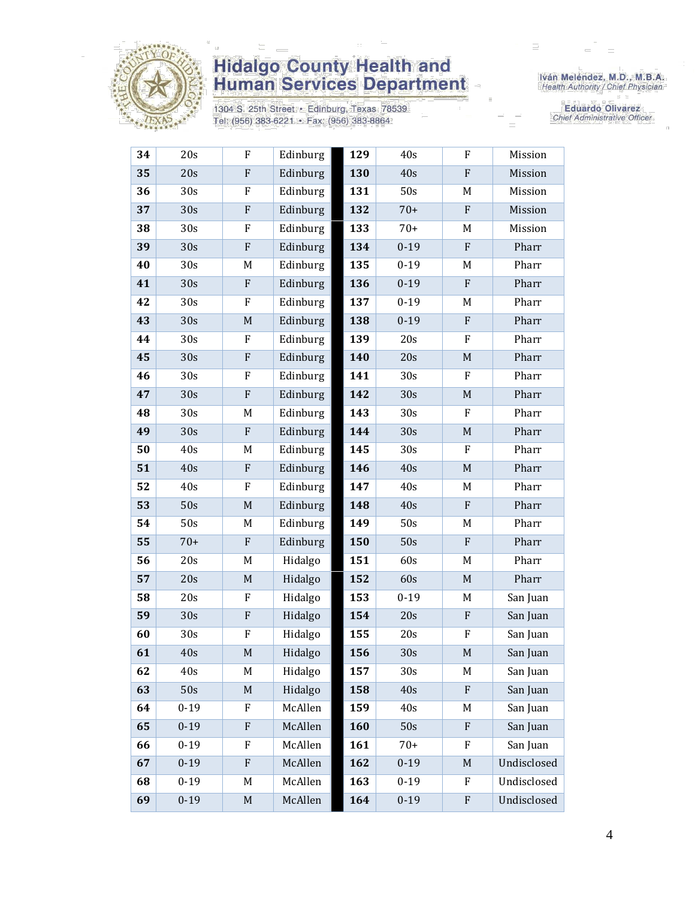

# **Hidalgo County Health and<br>Human Services Department**

1304 S. 25th Street • Edinburg, Texas 78539<br>Tel: (956) 383-6221 • Fax: (956) 383-8864

Iván Meléndez, M.D., M.B.A.<br>Health Authority / Chief Physician

**Eduardo Olivarez** Chief Administrative Officer

| 34 | 20s      | $\mathbf F$                                                                                                | Edinburg | 129 | 40s      | F                         | Mission     |
|----|----------|------------------------------------------------------------------------------------------------------------|----------|-----|----------|---------------------------|-------------|
| 35 | 20s      | ${\bf F}$                                                                                                  | Edinburg | 130 | 40s      | ${\bf F}$                 | Mission     |
| 36 | 30s      | $\rm F$                                                                                                    | Edinburg | 131 | 50s      | M                         | Mission     |
| 37 | 30s      | $\rm F$                                                                                                    | Edinburg | 132 | $70+$    | $\boldsymbol{\mathrm{F}}$ | Mission     |
| 38 | 30s      | F                                                                                                          | Edinburg | 133 | $70+$    | M                         | Mission     |
| 39 | 30s      | $\boldsymbol{\mathrm{F}}$                                                                                  | Edinburg | 134 | $0 - 19$ | $\boldsymbol{\mathrm{F}}$ | Pharr       |
| 40 | 30s      | M                                                                                                          | Edinburg | 135 | $0 - 19$ | M                         | Pharr       |
| 41 | 30s      | ${\bf F}$                                                                                                  | Edinburg | 136 | $0 - 19$ | $\boldsymbol{\mathrm{F}}$ | Pharr       |
| 42 | 30s      | F                                                                                                          | Edinburg | 137 | $0 - 19$ | M                         | Pharr       |
| 43 | 30s      | $\mathbf M$                                                                                                | Edinburg | 138 | $0 - 19$ | ${\bf F}$                 | Pharr       |
| 44 | 30s      | $\rm F$                                                                                                    | Edinburg | 139 | 20s      | F                         | Pharr       |
| 45 | 30s      | $\rm F$                                                                                                    | Edinburg | 140 | 20s      | $\mathbf M$               | Pharr       |
| 46 | 30s      | $\rm F$                                                                                                    | Edinburg | 141 | 30s      | $\mathbf F$               | Pharr       |
| 47 | 30s      | ${\bf F}$                                                                                                  | Edinburg | 142 | 30s      | $\mathbf M$               | Pharr       |
| 48 | 30s      | M                                                                                                          | Edinburg | 143 | 30s      | $\mathbf F$               | Pharr       |
| 49 | 30s      | $\rm F$                                                                                                    | Edinburg | 144 | 30s      | $\mathbf M$               | Pharr       |
| 50 | 40s      | M                                                                                                          | Edinburg | 145 | 30s      | $\rm F$                   | Pharr       |
| 51 | 40s      | $\rm F$                                                                                                    | Edinburg | 146 | 40s      | $\mathbf M$               | Pharr       |
| 52 | 40s      | F                                                                                                          | Edinburg | 147 | 40s      | M                         | Pharr       |
| 53 | 50s      | $\mathbf M$                                                                                                | Edinburg | 148 | 40s      | ${\bf F}$                 | Pharr       |
| 54 | 50s      | M                                                                                                          | Edinburg | 149 | 50s      | M                         | Pharr       |
| 55 | $70+$    | ${\bf F}$                                                                                                  | Edinburg | 150 | 50s      | ${\bf F}$                 | Pharr       |
| 56 | 20s      | M                                                                                                          | Hidalgo  | 151 | 60s      | M                         | Pharr       |
| 57 | 20s      | $\mathbf M$                                                                                                | Hidalgo  | 152 | 60s      | $\mathbf M$               | Pharr       |
| 58 | 20s      | $\rm F$                                                                                                    | Hidalgo  | 153 | $0 - 19$ | M                         | San Juan    |
| 59 | 30s      | $\boldsymbol{\mathrm{F}}$                                                                                  | Hidalgo  | 154 | 20s      | $\mathbf{F}$              | San Juan    |
| 60 | 30s      | $\boldsymbol{\mathrm{F}}$                                                                                  | Hidalgo  | 155 | 20s      | $\boldsymbol{\mathrm{F}}$ | San Juan    |
| 61 | 40s      | $\mathsf{M}% _{T}=\mathsf{M}_{T}\!\left( a,b\right) ,\ \mathsf{M}_{T}=\mathsf{M}_{T}\!\left( a,b\right) ,$ | Hidalgo  | 156 | 30s      | $\mathbf M$               | San Juan    |
| 62 | 40s      | M                                                                                                          | Hidalgo  | 157 | 30s      | M                         | San Juan    |
| 63 | 50s      | $\mathbf M$                                                                                                | Hidalgo  | 158 | 40s      | $\boldsymbol{\mathrm{F}}$ | San Juan    |
| 64 | $0 - 19$ | F                                                                                                          | McAllen  | 159 | 40s      | M                         | San Juan    |
| 65 | $0 - 19$ | ${\bf F}$                                                                                                  | McAllen  | 160 | 50s      | $\boldsymbol{\mathrm{F}}$ | San Juan    |
| 66 | $0 - 19$ | F                                                                                                          | McAllen  | 161 | $70+$    | F                         | San Juan    |
| 67 | $0 - 19$ | ${\bf F}$                                                                                                  | McAllen  | 162 | $0 - 19$ | $\mathbf M$               | Undisclosed |
| 68 | $0 - 19$ | M                                                                                                          | McAllen  | 163 | $0 - 19$ | F                         | Undisclosed |
| 69 | $0 - 19$ | $M_{\odot}$                                                                                                | McAllen  | 164 | $0 - 19$ | $\boldsymbol{\mathrm{F}}$ | Undisclosed |